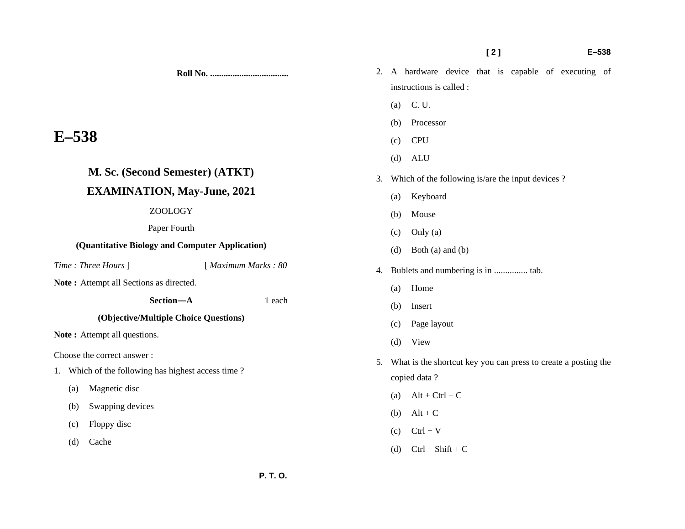#### **[ 2 ] E–538**

**Roll No. ...................................** 

# **E–538**

# **M. Sc. (Second Semester) (ATKT)**

## **EXAMINATION, May-June, 2021**

#### ZOOLOGY

Paper Fourth

### **(Quantitative Biology and Computer Application)**

*Time : Three Hours* ] [ *Maximum Marks : 80* 

**Note :** Attempt all Sections as directed.

 **Section—A** 1 each

## **(Objective/Multiple Choice Questions)**

**Note :** Attempt all questions.

Choose the correct answer :

- 1. Which of the following has highest access time ?
	- (a) Magnetic disc
	- (b) Swapping devices
	- (c) Floppy disc
	- (d) Cache
- 2. A hardware device that is capable of executing of instructions is called :
	- (a) C. U.
	- (b) Processor
	- (c) CPU
	- (d) ALU
- 3. Which of the following is/are the input devices ?
	- (a) Keyboard
	- (b) Mouse
	- (c) Only (a)
	- (d) Both (a) and (b)
- 4. Bublets and numbering is in ............... tab.
	- (a) Home
	- (b) Insert
	- (c) Page layout
	- (d) View
- 5. What is the shortcut key you can press to create a posting the copied data ?
	- (a)  $Alt + Ctrl + C$
	- (b)  $Alt + C$
	- $\text{C}$  Ctrl + V
	- (d)  $Ctrl + Shift + C$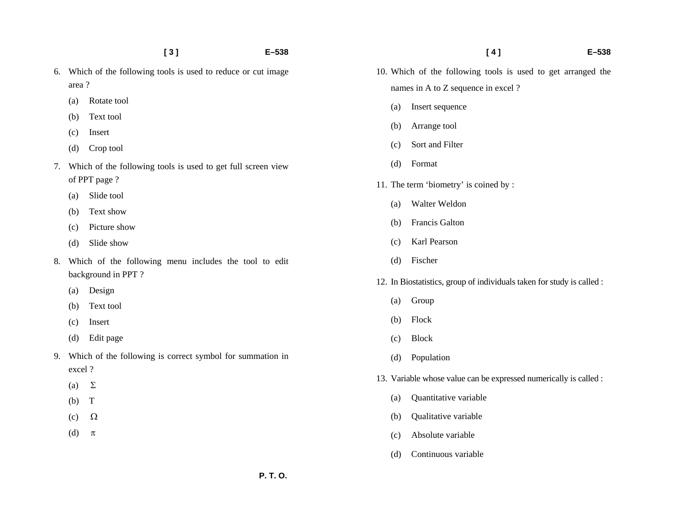- 6. Which of the following tools is used to reduce or cut image area ?
	- (a) Rotate tool
	- (b) Text tool
	- (c) Insert
	- (d) Crop tool
- 7. Which of the following tools is used to get full screen view of PPT page ?
	- (a) Slide tool
	- (b) Text show
	- (c) Picture show
	- (d) Slide show
- 8. Which of the following menu includes the tool to edit background in PPT ?
	- (a) Design
	- (b) Text tool
	- (c) Insert
	- (d) Edit page
- 9. Which of the following is correct symbol for summation in excel ?
	- (a)  $\Sigma$
	- (b) T
	- $(c)$   $\Omega$
	- (d)  $\pi$
- 10. Which of the following tools is used to get arranged the names in A to Z sequence in excel ?
	- (a) Insert sequence
	- (b) Arrange tool
	- (c) Sort and Filter
	- (d) Format
- 11. The term 'biometry' is coined by :
	- (a) Walter Weldon
	- (b) Francis Galton
	- (c) Karl Pearson
	- (d) Fischer
- 12. In Biostatistics, group of individuals taken for study is called :
	- (a) Group
	- (b) Flock
	- (c) Block
	- (d) Population
- 13. Variable whose value can be expressed numerically is called :
	- (a) Quantitative variable
	- (b) Qualitative variable
	- (c) Absolute variable
	- (d) Continuous variable

#### **[ 4 ] E–538**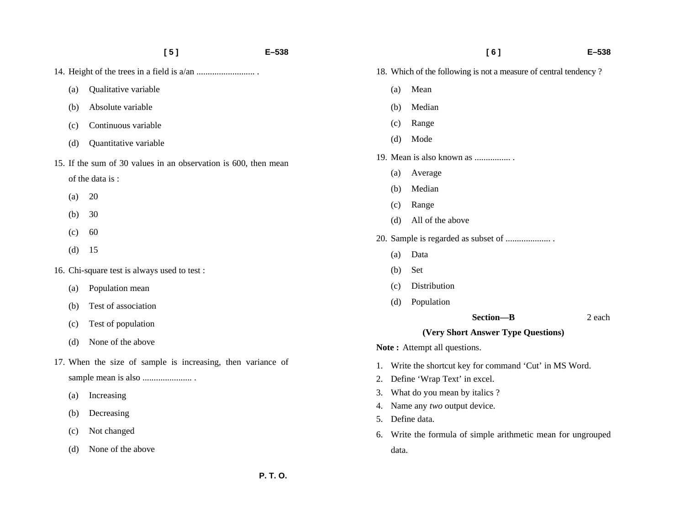|                                                                 | [5]<br>E-538          |  |  |  |  |  |
|-----------------------------------------------------------------|-----------------------|--|--|--|--|--|
|                                                                 |                       |  |  |  |  |  |
| (a)                                                             | Qualitative variable  |  |  |  |  |  |
| (b)                                                             | Absolute variable     |  |  |  |  |  |
| (c)                                                             | Continuous variable   |  |  |  |  |  |
| (d)                                                             | Quantitative variable |  |  |  |  |  |
| 15. If the sum of 30 values in an observation is 600, then mean |                       |  |  |  |  |  |
|                                                                 | of the data is:       |  |  |  |  |  |
| (a)                                                             | 20                    |  |  |  |  |  |
| (b)                                                             | 30                    |  |  |  |  |  |
| (c)                                                             | 60                    |  |  |  |  |  |
| (d)                                                             | 15                    |  |  |  |  |  |
| 16. Chi-square test is always used to test:                     |                       |  |  |  |  |  |
| (a)                                                             | Population mean       |  |  |  |  |  |
| (b)                                                             | Test of association   |  |  |  |  |  |
| (c)                                                             | Test of population    |  |  |  |  |  |
| (d)                                                             | None of the above     |  |  |  |  |  |
| 17. When the size of sample is increasing, then variance of     |                       |  |  |  |  |  |

- (a) Increasing
- (b) Decreasing
- (c) Not changed
- (d) None of the above

data.